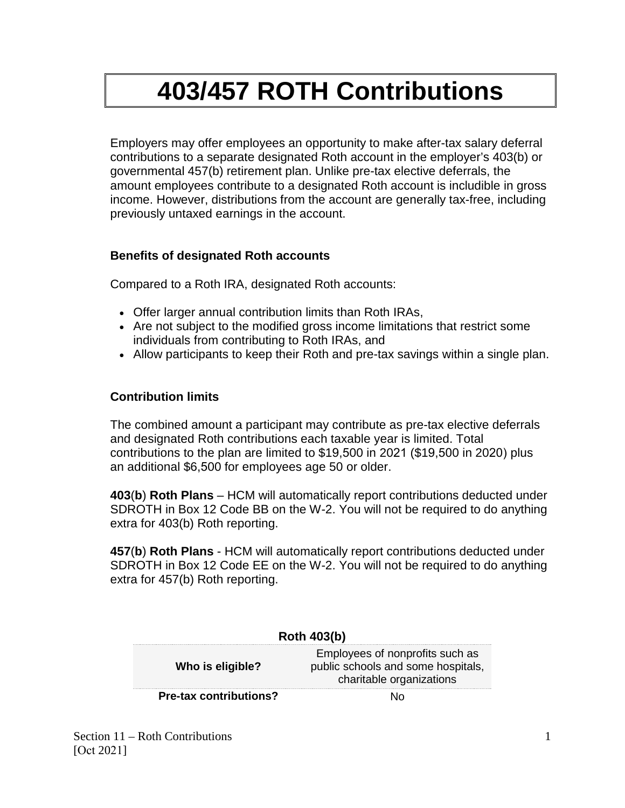## **403/457 ROTH Contributions**

Employers may offer employees an opportunity to make after-tax salary deferral contributions to a separate designated Roth account in the employer's 403(b) or governmental 457(b) retirement plan. Unlike pre-tax elective deferrals, the amount employees contribute to a designated Roth account is includible in gross income. However, distributions from the account are generally tax-free, including previously untaxed earnings in the account.

## **Benefits of designated Roth accounts**

Compared to a Roth IRA, designated Roth accounts:

- Offer larger annual contribution limits than Roth IRAs,
- Are not subject to the modified gross income limitations that restrict some individuals from contributing to Roth IRAs, and
- Allow participants to keep their Roth and pre-tax savings within a single plan.

## **Contribution limits**

The combined amount a participant may contribute as pre-tax elective deferrals and designated Roth contributions each taxable year is limited. Total contributions to the plan are limited to \$19,500 in 2021 (\$19,500 in 2020) plus an additional \$6,500 for employees age 50 or older.

**403**(**b**) **Roth Plans** – HCM will automatically report contributions deducted under SDROTH in Box 12 Code BB on the W-2. You will not be required to do anything extra for 403(b) Roth reporting.

**457**(**b**) **Roth Plans** - HCM will automatically report contributions deducted under SDROTH in Box 12 Code EE on the W-2. You will not be required to do anything extra for 457(b) Roth reporting.

| <b>Roth 403(b)</b>            |                                                                                                   |
|-------------------------------|---------------------------------------------------------------------------------------------------|
| Who is eligible?              | Employees of nonprofits such as<br>public schools and some hospitals,<br>charitable organizations |
| <b>Pre-tax contributions?</b> |                                                                                                   |